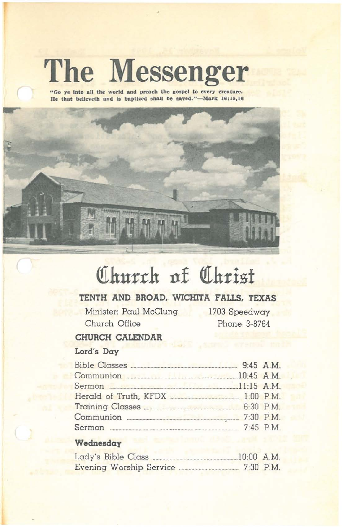# **The Messenger**

"Go ye into all the world and preach the gospel to every creature.<br>He that believeth and is baptized shall be saved."—Mark 16:15,16



# **(f1hurrh tlf QIhrisf**

# **TENTH AND BROAD. WICHITA FAllS. TEXAS**

Minister: Paul McClung Church Office

1703 Speedway Phone 3-8764

## **CHURCH CALENDAR**

# Lord's **Day**

| Communion 2016 10:45 A.M.         |  |
|-----------------------------------|--|
| Sermon 2008 11:15 A.M.            |  |
| Herald of Truth, KFDX [1:00 P.M.] |  |
|                                   |  |
|                                   |  |
|                                   |  |

## **Weclnesday**

| Lady's Bible Class      | $10:00$ A.M. |
|-------------------------|--------------|
| Evening Worship Service | $7:30$ P.M.  |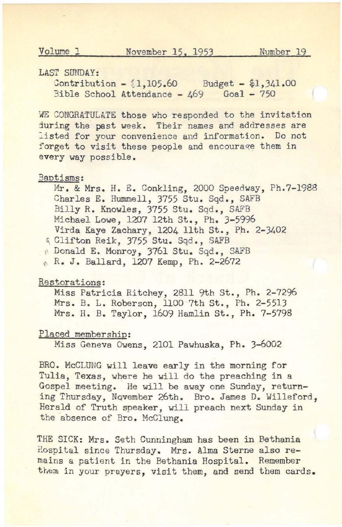#### LAST SUNDAY:

 $Contribution - {1,105.60}$  Budget - \$1,341.00 3ible School Attendance - 469 Goal - 750

WE CONGRATULATE those who responded to the invitation during the past week. Their names and addresses are listed for your convenience and information. Do not forget to visit these people and encourage them in every way possible.

#### Baptisms:

Mr. & Mrs. H. E. Conkling, 2000 Speedway, Ph.7-l988 Charles E. Hummell, 3755 Stu. Sqd., SAFB Billy R. Knowles, 3755 Stu. Sqd., SAFB Michael Lowe, <sup>1207</sup> 12th st., Ph. 3-5996 Virda Kaye Zachary, <sup>1204</sup> 11th st., Ph. 2-3402 6 Clifton Reik, 3755 Stu. Sqd., SAFB " Donald E. Monroy, 3761 Stu. Sqd., SAFB R. J. Ballard, 1207 Kemp, Ph. 2-2672

#### Restorations:

Miss Patricia Ritchey, <sup>2811</sup> 9th st., Ph. 2-7296 Mrs. B. L. Roberson, 1l00·7th St., Ph. 2-5513 Mrs. H. B. Taylor, <sup>1609</sup> Hamlin st., Ph. 7-5798

#### Placed membership:

Miss Geneva Owens, 2101 Pawhuska, Ph. 3-6002

BRO. McCLUNG will leave early in the morning for Tulia, Texas, where he will do the preaching in a Gospel meeting. He will be away one Sunday, returning Thursday, NQvember 26th. Bro. James D. Willeford, Herald of Truth speaker, will preach next Sunday in the absence of Bro. McClung.

THE SICK: Mrs. Seth Cunningham has been in Bethania Hospital since Thursday. Mrs. Alma Sterne also remains a patient in the Bethania Hospital. Remember them in your preyers, visit them, and send them cards.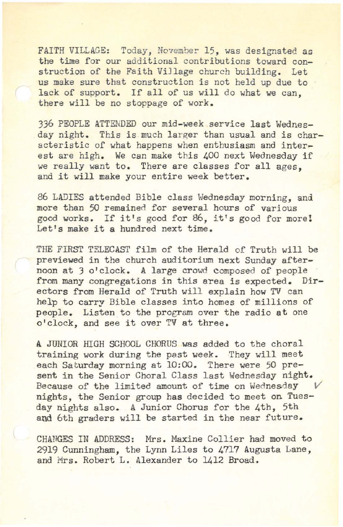FAITH VILLAGE: Today, November 15, was designated as the time for our additional contributions toward construction of the Faith ViJlage church building. Let us make sure that construction is not held up due to lack of support. If all of us will do what we can. there will be no stoppage of work.

336 PEOPLE ATTENDED our mid-week service last Wednesday night. This is much larger than usual and is characteristic of what happens when enthusiasm and interest are high. We can make this 400 next Wednesday if we really want to. There are classes for all ages. and it will make your entire week better.

86 LADIES attended Bible class Wednesday morning, and more than 50 remained for several hours of various good works. If it's good for 86, it's good for more! Let's make it a hundred next time.

THE FIRST TELECAST film of the Herald of Truth will be previewed in the church auditorium next Sunday afternoon at 3 o'clock. A large crowd composed of people from many congregations in this area is expected. Directors from Herald of Truth will explain how TV can help to carry Bible classes into homes of millions of people. Listen to the program over the radio at one o'clock, and see it over TV at three.

A JUNIOR HIGH SCHOOL CHORUS was added to the choral training work during the past week. They will meet each Saturday morning at 10:00. There were 50 present in the Senior Choral Class last Wednesday night. Because of the limited amount of time on Wednesday nights, the Senior group has decided to meet on Tuesday nights also. A Junior Chorus for the 4th, 5th and 6th graders will be started in the near future.

CHANGES IN ADDRESS: Mrs. Maxine Collier had moved to 2919 Cunningham, the Lynn Liles to 4717 Augusta Lane, and Mrs. Robert L. Alexander to 1412 Broad.